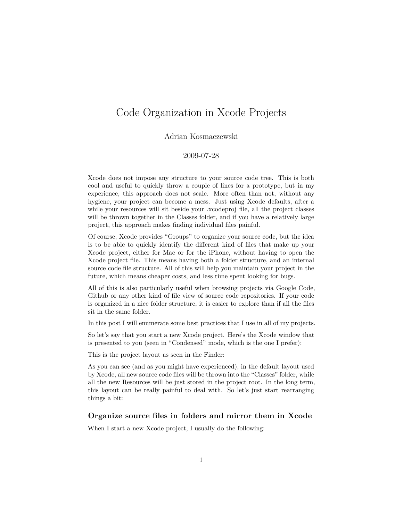# <span id="page-0-0"></span>Code Organization in Xcode Projects

#### Adrian Kosmaczewski

# 2009-07-28

Xcode does not impose any structure to your source code tree. This is both cool and useful to quickly throw a couple of lines for a prototype, but in my experience, this approach does not scale. More often than not, without any hygiene, your project can become a mess. Just using Xcode defaults, after a while your resources will sit beside your .xcodeproj file, all the project classes will be thrown together in the Classes folder, and if you have a relatively large project, this approach makes finding individual files painful.

Of course, Xcode provides "Groups" to organize your source code, but the idea is to be able to quickly identify the different kind of files that make up your Xcode project, either for Mac or for the iPhone, without having to open the Xcode project file. This means having both a folder structure, and an internal source code file structure. All of this will help you maintain your project in the future, which means cheaper costs, and less time spent looking for bugs.

All of this is also particularly useful when browsing projects via Google Code, Github or any other kind of file view of source code repositories. If your code is organized in a nice folder structure, it is easier to explore than if all the files sit in the same folder.

In this post I will enumerate some best practices that I use in all of my projects.

So let's say that you start a new Xcode project. Here's the Xcode window that is presented to you (seen in "Condensed" mode, which is the one I prefer):

This is the project layout as seen in the Finder:

As you can see (and as you might have experienced), in the default layout used by Xcode, all new source code files will be thrown into the "Classes" folder, while all the new Resources will be just stored in the project root. In the long term, this layout can be really painful to deal with. So let's just start rearranging things a bit:

# **Organize source files in folders and mirror them in Xcode**

When I start a new Xcode project, I usually do the following: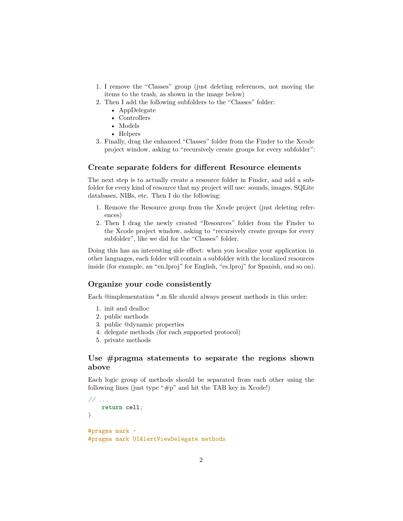- 1. I remove the "Classes" group (just deleting references, not moving the items to the trash, as shown in the image below)
- 2. Then I add the following subfolders to the "Classes" folder:
	- AppDelegate
	- Controllers
	- Models
	- Helpers
- 3. Finally, drag the enhanced "Classes" folder from the Finder to the Xcode project window, asking to "recursively create groups for every subfolder":

#### **Create separate folders for different Resource elements**

The next step is to actually create a resource folder in Finder, and add a subfolder for every kind of resource that my project will use: sounds, images, SQLite databases, NIBs, etc. Then I do the following:

- 1. Remove the Resource group from the Xcode project (just deleting references)
- 2. Then I drag the newly created "Resources" folder from the Finder to the Xcode project window, asking to "recursively create groups for every subfolder", like we did for the "Classes" folder.

Doing this has an interesting side effect: when you localize your application in other languages, each folder will contain a subfolder with the localized resources inside (for example, an "en.lproj" for English, "es.lproj" for Spanish, and so on).

#### **Organize your code consistently**

Each @implementation \*.m file should always present methods in this order:

- 1. init and dealloc
- 2. public methods
- 3. public @dynamic properties
- 4. delegate methods (for each supported protocol)
- 5. private methods

# **Use #pragma statements to separate the regions shown above**

Each logic group of methods should be separated from each other using the following lines (just type "#p" and hit the TAB key in Xcode!)

```
// ...
    return cell;
}
#pragma mark -
#pragma mark UIAlertViewDelegate methods
```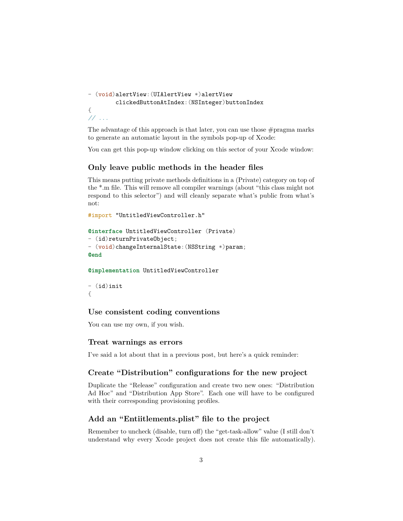```
- (void)alertView:(UIAlertView *)alertView
        clickedButtonAtIndex:(NSInteger)buttonIndex
{
// ...
```
The advantage of this approach is that later, you can use those #pragma marks to generate an automatic layout in the symbols pop-up of Xcode:

You can get this pop-up window clicking on this sector of your Xcode window:

# **Only leave public methods in the header files**

This means putting private methods definitions in a (Private) category on top of the \*.m file. This will remove all compiler warnings (about "this class might not respond to this selector") and will cleanly separate what's public from what's not:

```
#import "UntitledViewController.h"
```

```
@interface UntitledViewController (Private)
- (id)returnPrivateObject;
- (void)changeInternalState:(NSString *)param;
@end
```
**@implementation** UntitledViewController

```
- (id)init
{
```
#### **Use consistent coding conventions**

[You can use my own,](http://wiki.akosma.com/Objective-C_Code_Standards) if you wish.

#### **Treat warnings as errors**

[I've said a lot about that in a previous post,](#page-0-0) but here's a quick reminder:

### **Create "Distribution" configurations for the new project**

Duplicate the "Release" configuration and create two new ones: "Distribution Ad Hoc" and "Distribution App Store". Each one will have to be configured with their corresponding provisioning profiles.

# **Add an "Entiitlements.plist" file to the project**

Remember to uncheck (disable, turn off) the "get-task-allow" value (I still don't understand why every Xcode project does not create this file automatically).